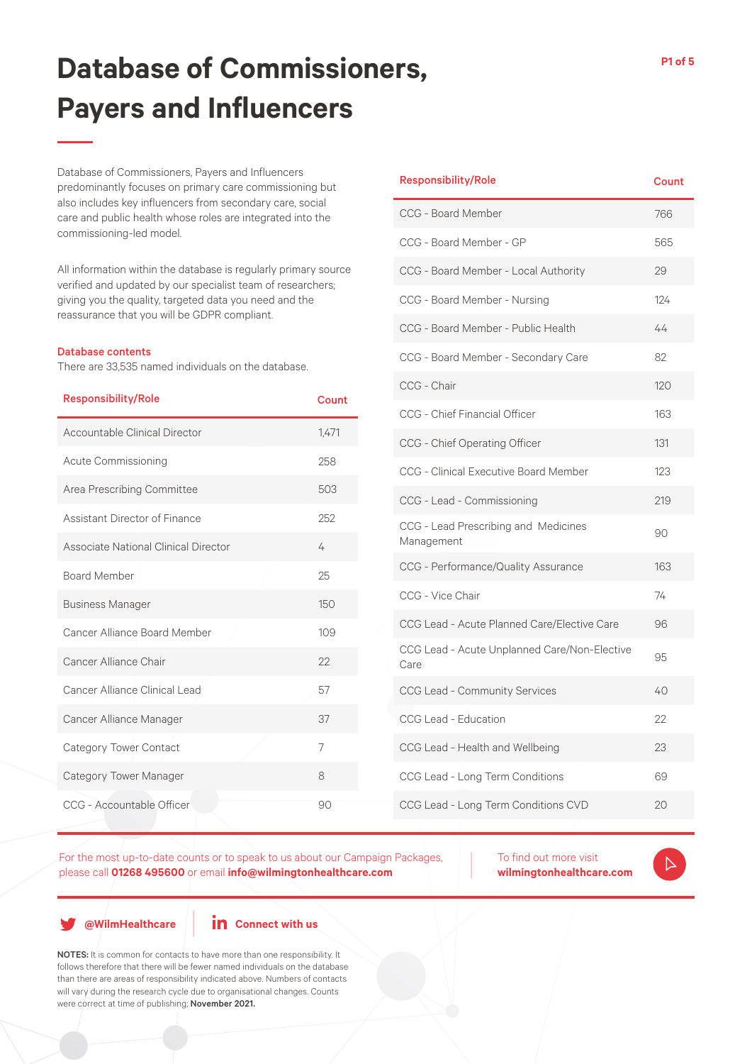Database of Commissioners, Payers and Influencers predominantly focuses on primary care commissioning but also includes key influencers from secondary care, social care and public health whose roles are integrated into the commissioning-led model.

All information within the database is regularly primary source verified and updated by our specialist team of researchers; giving you the quality, targeted data you need and the reassurance that you will be GDPR compliant.

#### Database contents

There are 33,535 named individuals on the database.

| <b>Responsibility/Role</b>           | Count          |
|--------------------------------------|----------------|
| Accountable Clinical Director        | 1,471          |
| <b>Acute Commissioning</b>           | 258            |
| Area Prescribing Committee           | 503            |
| Assistant Director of Finance        | 252            |
| Associate National Clinical Director | 4              |
| <b>Board Member</b>                  | 25             |
| <b>Business Manager</b>              | 150            |
| Cancer Alliance Board Member         | 109            |
| Cancer Alliance Chair                | 22             |
| Cancer Alliance Clinical Lead        | 57             |
| Cancer Alliance Manager              | 37             |
| Category Tower Contact               | $\overline{7}$ |
| Category Tower Manager               | 8              |
| CCG - Accountable Officer            | 90             |

#### Responsibility/Role Count CCG - Board Member 766 CCG - Board Member - GP 565 CCG - Board Member - Local Authority 29 CCG - Board Member - Nursing 124 CCG - Board Member - Public Health 44 CCG - Board Member - Secondary Care 82 CCG - Chair 120 CCG - Chief Financial Officer 163 CCG - Chief Operating Officer 131 CCG - Clinical Executive Board Member 123 CCG - Lead - Commissioning 219 CCG - Lead Prescribing and Medicines CCG - Lead Prescribing and Medicines<br>Management CCG - Performance/Quality Assurance 163 CCG - Vice Chair 74 CCG Lead - Acute Planned Care/Elective Care 96 CCG Lead - Acute Unplanned Care/Non-Elective Care <sup>95</sup>

For the most up-to-date counts or to speak to us about our Campaign Packages, please call **01268 495600** or email **info@wilmingtonhealthcare.com**

To find out more visit **wilmingtonhealthcare.com**

CCG Lead - Community Services 40

CCG Lead - Education 22

CCG Lead - Health and Wellbeing 23

CCG Lead - Long Term Conditions 69

CCG Lead - Long Term Conditions CVD 20

**@WilmHealthcare**

#### **in** Connect with us

NOTES: It is common for contacts to have more than one responsibility. It follows therefore that there will be fewer named individuals on the database than there are areas of responsibility indicated above. Numbers of contacts will vary during the research cycle due to organisational changes. Counts were correct at time of publishing; November 2021.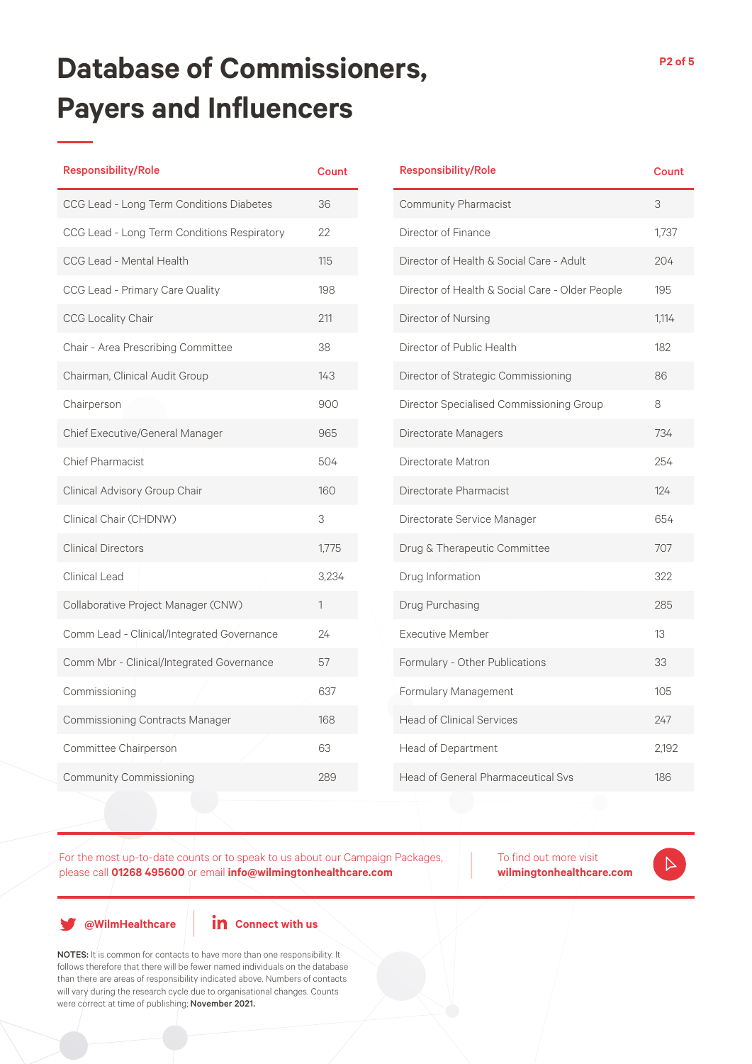| <b>Responsibility/Role</b>                  | <b>Count</b> |
|---------------------------------------------|--------------|
| CCG Lead - Long Term Conditions Diabetes    | 36           |
| CCG Lead - Long Term Conditions Respiratory | 22           |
| CCG Lead - Mental Health                    | 115          |
| CCG Lead - Primary Care Quality             | 198          |
| <b>CCG Locality Chair</b>                   | 211          |
| Chair - Area Prescribing Committee          | 38           |
| Chairman, Clinical Audit Group              | 143          |
| Chairperson                                 | 900          |
| Chief Executive/General Manager             | 965          |
| <b>Chief Pharmacist</b>                     | 504          |
| Clinical Advisory Group Chair               | 160          |
| Clinical Chair (CHDNW)                      | 3            |
| <b>Clinical Directors</b>                   | 1,775        |
| Clinical Lead                               | 3,234        |
| Collaborative Project Manager (CNW)         | 1            |
| Comm Lead - Clinical/Integrated Governance  | 24           |
| Comm Mbr - Clinical/Integrated Governance   | 57           |
| Commissioning                               | 637          |
| <b>Commissioning Contracts Manager</b>      | 168          |
| Committee Chairperson                       | 63           |
| <b>Community Commissioning</b>              | 289          |

| <b>Responsibility/Role</b>                      | <b>Count</b> |
|-------------------------------------------------|--------------|
| Community Pharmacist                            | 3            |
| Director of Finance                             | 1,737        |
| Director of Health & Social Care - Adult        | 204          |
| Director of Health & Social Care - Older People | 195          |
| Director of Nursing                             | 1,114        |
| Director of Public Health                       | 182          |
| Director of Strategic Commissioning             | 86           |
| Director Specialised Commissioning Group        | 8            |
| Directorate Managers                            | 734          |
| Directorate Matron                              | 254          |
| Directorate Pharmacist                          | 124          |
| Directorate Service Manager                     | 654          |
| Drug & Therapeutic Committee                    | 707          |
| Drug Information                                | 322          |
| Drug Purchasing                                 | 285          |
| <b>Executive Member</b>                         | 13           |
| Formulary - Other Publications                  | 33           |
| Formulary Management                            | 105          |
| <b>Head of Clinical Services</b>                | 247          |
| Head of Department                              | 2,192        |
| <b>Head of General Pharmaceutical Svs</b>       | 186          |

For the most up-to-date counts or to speak to us about our Campaign Packages, please call **01268 495600** or email **info@wilmingtonhealthcare.com**

To find out more visit **wilmingtonhealthcare.com**

 $\triangleright$ 

**@WilmHealthcare**

**in** Connect with us

NOTES: It is common for contacts to have more than one responsibility. It follows therefore that there will be fewer named individuals on the database than there are areas of responsibility indicated above. Numbers of contacts will vary during the research cycle due to organisational changes. Counts were correct at time of publishing; November 2021.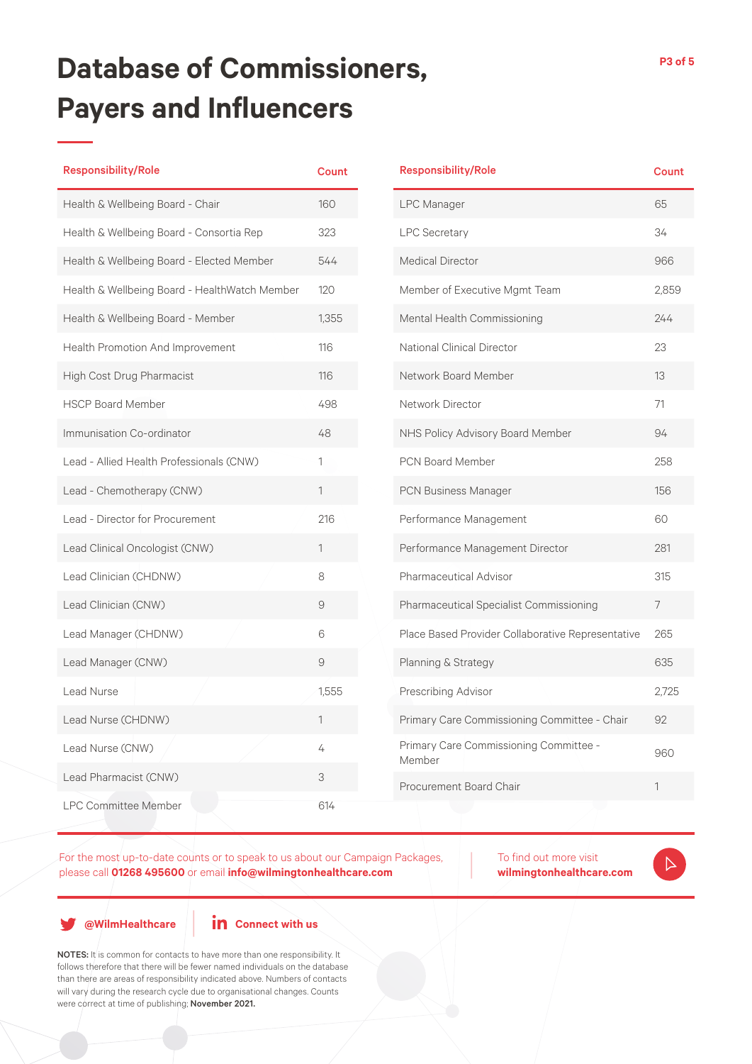| <b>Responsibility/Role</b>                    | <b>Count</b> |
|-----------------------------------------------|--------------|
| Health & Wellbeing Board - Chair              | 160          |
| Health & Wellbeing Board - Consortia Rep      | 323          |
| Health & Wellbeing Board - Elected Member     | 544          |
| Health & Wellbeing Board - HealthWatch Member | 120          |
| Health & Wellbeing Board - Member             | 1,355        |
| Health Promotion And Improvement              | 116          |
| High Cost Drug Pharmacist                     | 116          |
| <b>HSCP Board Member</b>                      | 498          |
| Immunisation Co-ordinator                     | 48           |
| Lead - Allied Health Professionals (CNW)      | 1            |
| Lead - Chemotherapy (CNW)                     | 1            |
| Lead - Director for Procurement               | 216          |
| Lead Clinical Oncologist (CNW)                | 1            |
| Lead Clinician (CHDNW)                        | 8            |
| Lead Clinician (CNW)                          | 9            |
| Lead Manager (CHDNW)                          | 6            |
| Lead Manager (CNW)                            | 9            |
| Lead Nurse                                    | 1,555        |
| Lead Nurse (CHDNW)                            | 1            |
| Lead Nurse (CNW)                              | 4            |
| Lead Pharmacist (CNW)                         | 3            |
| <b>LPC Committee Member</b>                   | 614          |

| <b>Responsibility/Role</b>                        | <b>Count</b> |
|---------------------------------------------------|--------------|
| <b>LPC Manager</b>                                | 65           |
| <b>LPC Secretary</b>                              | 34           |
| <b>Medical Director</b>                           | 966          |
| Member of Executive Mgmt Team                     | 2,859        |
| Mental Health Commissioning                       | 244          |
| National Clinical Director                        | 23           |
| <b>Network Board Member</b>                       | 13           |
| Network Director                                  | 71           |
| NHS Policy Advisory Board Member                  | 94           |
| <b>PCN Board Member</b>                           | 258          |
| PCN Business Manager                              | 156          |
| Performance Management                            | 60           |
| Performance Management Director                   | 281          |
| Pharmaceutical Advisor                            | 315          |
| Pharmaceutical Specialist Commissioning           | 7            |
| Place Based Provider Collaborative Representative | 265          |
| Planning & Strategy                               | 635          |
| Prescribing Advisor                               | 2,725        |
| Primary Care Commissioning Committee - Chair      | 92           |
| Primary Care Commissioning Committee -<br>Member  | 960          |
| Procurement Board Chair                           | 1            |

For the most up-to-date counts or to speak to us about our Campaign Packages, please call **01268 495600** or email **info@wilmingtonhealthcare.com**

To find out more visit **wilmingtonhealthcare.com**

 $\triangleright$ 

**@WilmHealthcare**

**in** Connect with us

NOTES: It is common for contacts to have more than one responsibility. It follows therefore that there will be fewer named individuals on the database than there are areas of responsibility indicated above. Numbers of contacts will vary during the research cycle due to organisational changes. Counts were correct at time of publishing; November 2021.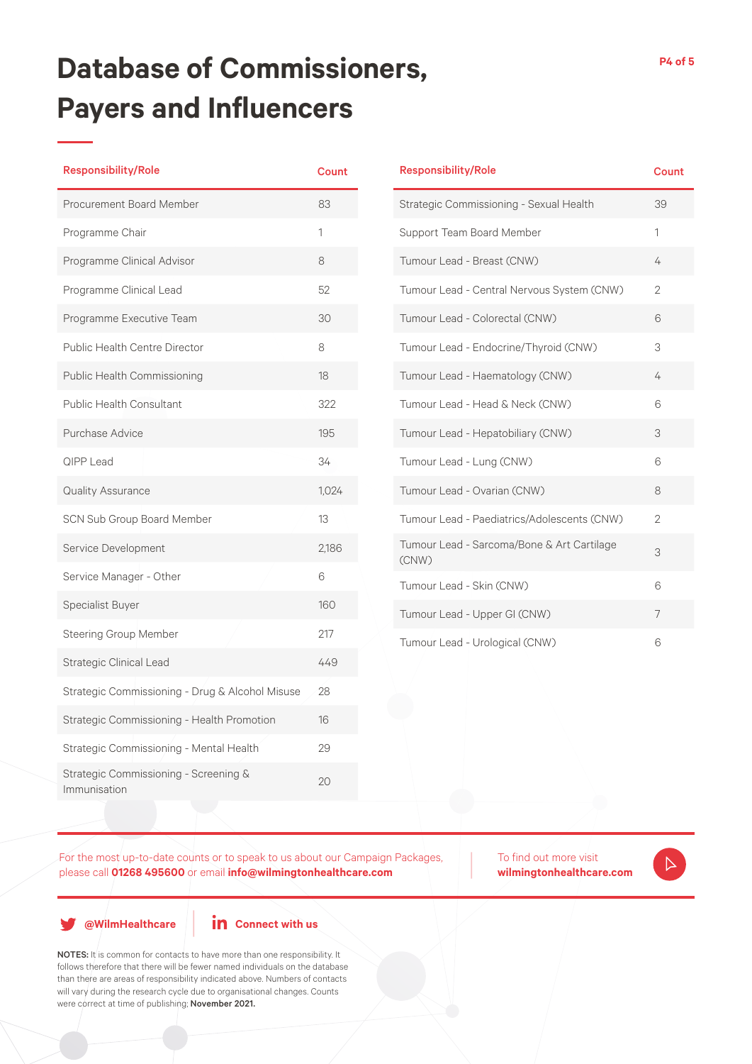| <b>Responsibility/Role</b>                            | <b>Count</b> |
|-------------------------------------------------------|--------------|
| <b>Procurement Board Member</b>                       | 83           |
| Programme Chair                                       | 1            |
| Programme Clinical Advisor                            | 8            |
| Programme Clinical Lead                               | 52           |
| Programme Executive Team                              | 30           |
| <b>Public Health Centre Director</b>                  | 8            |
| Public Health Commissioning                           | 18           |
| <b>Public Health Consultant</b>                       | 322          |
| Purchase Advice                                       | 195          |
| <b>QIPP Lead</b>                                      | 34           |
| Quality Assurance                                     | 1,024        |
| SCN Sub Group Board Member                            | 13           |
| Service Development                                   | 2,186        |
| Service Manager - Other                               | 6            |
| Specialist Buyer                                      | 160          |
| <b>Steering Group Member</b>                          | 217          |
| <b>Strategic Clinical Lead</b>                        | 449          |
| Strategic Commissioning - Drug & Alcohol Misuse       | 28           |
| Strategic Commissioning - Health Promotion            | 16           |
| Strategic Commissioning - Mental Health               | 29           |
| Strategic Commissioning - Screening &<br>Immunisation | 20           |

| <b>Responsibility/Role</b>                          | <b>Count</b>   |
|-----------------------------------------------------|----------------|
| Strategic Commissioning - Sexual Health             | 39             |
| Support Team Board Member                           | 1              |
| Tumour Lead - Breast (CNW)                          | 4              |
| Tumour Lead - Central Nervous System (CNW)          | $\overline{2}$ |
| Tumour Lead - Colorectal (CNW)                      | 6              |
| Tumour Lead - Endocrine/Thyroid (CNW)               | 3              |
| Tumour Lead - Haematology (CNW)                     | 4              |
| Tumour Lead - Head & Neck (CNW)                     | 6              |
| Tumour Lead - Hepatobiliary (CNW)                   | 3              |
| Tumour Lead - Lung (CNW)                            | 6              |
| Tumour Lead - Ovarian (CNW)                         | 8              |
| Tumour Lead - Paediatrics/Adolescents (CNW)         | $\overline{2}$ |
| Tumour Lead - Sarcoma/Bone & Art Cartilage<br>(CNW) | 3              |
| Tumour Lead - Skin (CNW)                            | 6              |
| Tumour Lead - Upper GI (CNW)                        | 7              |
| Tumour Lead - Urological (CNW)                      | 6              |

For the most up-to-date counts or to speak to us about our Campaign Packages, please call **01268 495600** or email **info@wilmingtonhealthcare.com**

To find out more visit **wilmingtonhealthcare.com**

 $\triangleright$ 

**@WilmHealthcare**

**in** Connect with us

NOTES: It is common for contacts to have more than one responsibility. It follows therefore that there will be fewer named individuals on the database than there are areas of responsibility indicated above. Numbers of contacts will vary during the research cycle due to organisational changes. Counts were correct at time of publishing; November 2021.